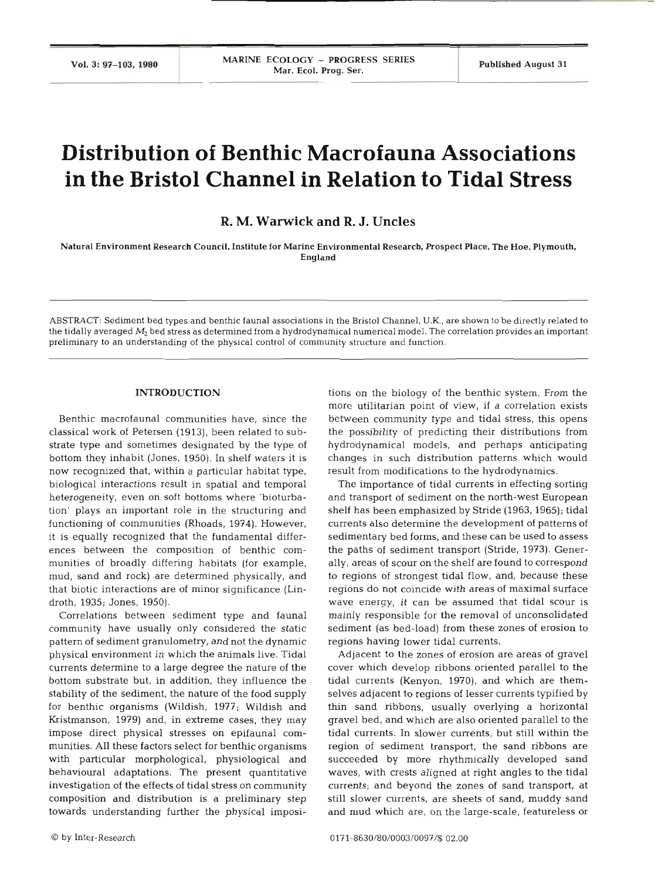# **Distribution of Benthic Macrofauna Associations in the Bristol Channel in Relation to Tidal Stress**

# **R. M. Warwick and R. J. Uncles**

Natural Environment Research Council, Institute for Marine Environmental Research. Prospect Place, The Hoe, Plymouth, England

ABSTRACT: Sediment bed types and benthic faunal associations in the Bristol Channel. U.K.. are shown to be directly related to the tidally averaged *M2* bed stress as determined from a hydrodynamical numerical model. The correlation provides an important preliminary to an understanding of the physical control of community structure and function.

### **INTRODUCTION**

Benthic macrofaunal communities have, since the classical work of Petersen (1913), been related to substrate type and sometimes designated by the type of bottom they inhabit (Jones, 1950). In shelf waters it is now recognized that, within a particular habitat type, biological interactions result in spatial and temporal heterogeneity, even on soft bottoms where 'bioturbation' plays an important role in the structuring and functioning of communities (Rhoads, 1974). However, it is equally recognized that the fundamental differences between the composition of benthic communities of broadly differing habitats (for example, mud, sand and rock) are determined physically, and that biotic interactions are of minor significance (Lindroth, 1935; Jones, 1950).

Correlations between sediment type and faunal community have usually only considered the static pattern of sediment granulometry, and not the dynamic physical environment in which the animals live. Tidal currents determine to a large degree the nature of the bottom substrate but, in addition, they influence the stability of the sediment, the nature of the food supply for benthic organisms (Wildish, 1977; Wildish and Kristmanson, 1979) and, in extreme cases, they may impose direct physical stresses on epifaunal communities. All these factors select for benthic organisms with particular morphological, physiological and behavioural adaptations. The present quantitative investigation of the effects of tidal stress on community composition and distribution is a preliminary step towards understanding further the physical imposi-

tions on the biology of the benthic system. From<br>more utilitarian point of view, if a correlation ext<br>between community type and tidal stress, this op<br>the possibility of predicting their distributions fi<br>hydrodynamical mod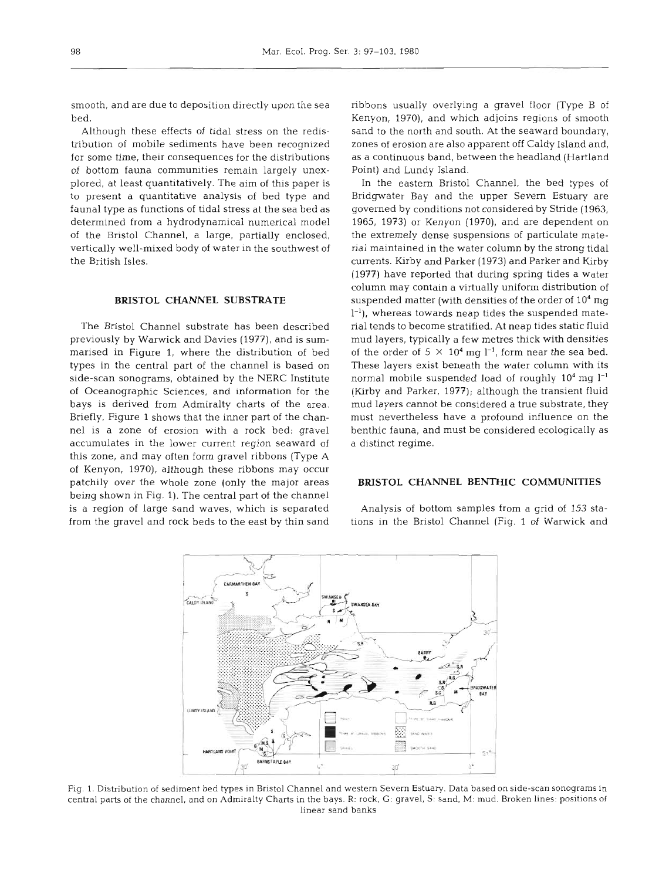smooth, and are due to deposition directly upon the sea bed.

Although these effects of tidal stress on the redistribution of mobile sediments have been recognized for some time, their consequences for the distributions of bottom fauna communities remain largely unexplored, at least quantitatively. The aim of this paper is to present a quantitative analysis of bed type and fauna1 type as functions of tidal stress at the sea bed as determined from a hydrodynamical numerical model of the Bristol Channel, a large, partially enclosed, vertically well-mixed body of water in the southwest of the British Isles.

#### **BRISTOL CHANNEL SUBSTRATE**

The Bristol Channel substrate has been described previously by Warwick and Davies (1977), and is summarised in Figure 1, where the distribution of bed types in the central part of the channel is based on side-scan sonograms, obtained by the NERC Institute of Oceanographic Sciences, and information for the bays is derived from Admiralty charts of the area. Briefly, Figure 1 shows that the inner part of the channel is a zone of erosion with a rock bed; gravel accumulates in the lower current region seaward of this zone, and may often form gravel ribbons (Type A of Kenyon, 1970), although these ribbons may occur patchily over the whole zone (only the major areas being shown in Fig. 1). The central part of the channel is a region of large sand waves, which is separated from the gravel and rock beds to the east by thin sand

ribbons usually overlying a gravel floor (Type B of Kenyon, 1970), and which adjoins regions of smooth sand to the north and south. At the seaward boundary, zones of erosion are also apparent off Caldy Island and, as a continuous band, between the headland (Hartland Point) and Lundy Island.

In the eastern Bristol Channel, the bed types of Bridgwater Bay and the upper Severn Estuary are governed by conditions not considered by Stride (1963, 1965, 1973) or Kenyon (1970), and are dependent on the extremely dense suspensions of particulate material maintained in the water column by the strong tidal currents. Kirby and Parker (1973) and Parker and Kirby (1977) have reported that during spring tides a water column may contain a virtually uniform distribution of suspended matter (with densities of the order of  $10<sup>4</sup>$  mg 1-l), whereas towards neap tides the suspended material tends to become stratified. At neap tides static fluid mud layers, typically a few metres thick with densities of the order of  $5 \times 10^4$  mg l<sup>-1</sup>, form near the sea bed. These layers exist beneath the water column with its normal mobile suspended load of roughly  $10^4$  mg  $l^{-1}$ (Kirby and Parker, 1977); although the transient fluid mud layers cannot be considered a true substrate, they must nevertheless have a profound influence on the benthic fauna, and must be considered ecologically as a distinct regime.

#### **BRISTOL CHANNEL BENTHIC COMMUNITIES**

Analysis of bottom samples from a grid of 153 stations in the Bristol Channel (Fig. 1 of Warwick and



Fig. 1. Distribution of sediment bed types in Bristol Channel and western Severn Estuary. Data based on slde-scan sonograms in central parts of the channel, and on Admiralty Charts in the bays. R: rock. G: gravel, S: sand. M: mud. Broken lines: positions of linear sand banks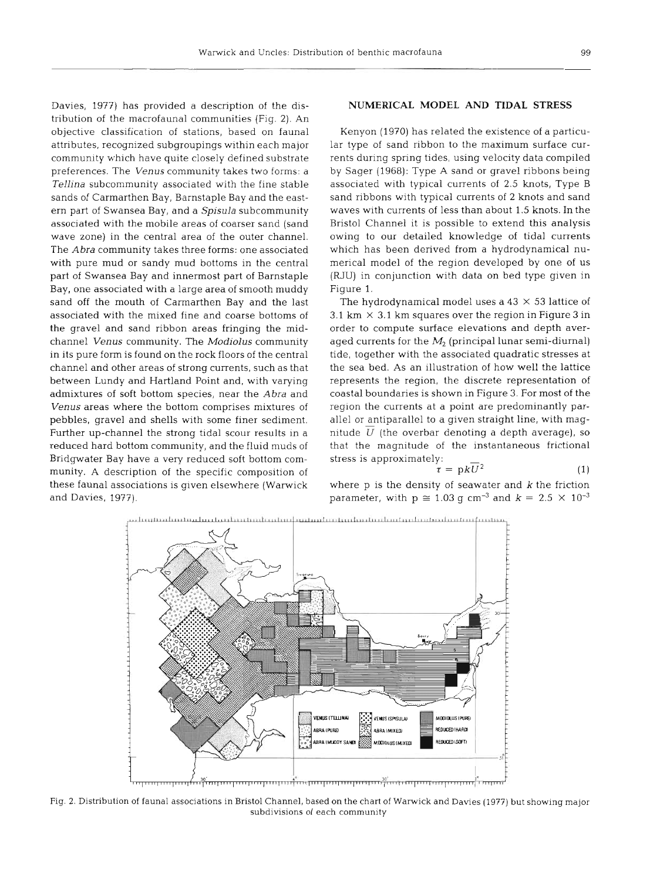Davies, 1977) has provided a description of the distribution of the macrofaunal communities (Fig. 2). An objective classification of stations, based on faunal attributes, recognized subgroupings within each major community which have quite closely defined substrate preferences. The *Venus* community takes two forms: a *Tellina* subcommunity associated with the fine stable sands of Carmarthen Bay, Barnstaple Bay and the eastem part of Swansea Bay, and a *Spisula* subcommunity associated with the mobile areas of coarser sand (sand wave zone) in the central area of the outer channel. The *Abra* community takes three forms: one associated with pure mud or sandy mud bottoms in the central part of Swansea Bay and innermost part of Barnstaple Bay, one associated with a large area of smooth muddy sand off the mouth of Carmarthen Bay and the last associated with the mixed fine and coarse bottoms of the gravel and sand ribbon areas fringing the midchannel *Venus* community. The *Modiolus* community in its pure form is found on the rock floors of the central channel and other areas of strong currents, such as that between Lundy and Hartland Point and, with varying admixtures of soft bottom species, near the *Abra* and *Venus* areas where the bottom comprises mixtures of pebbles, gravel and shells with some finer sediment. Further up-channel the strong tidal scour results in a reduced hard bottom community, and the fluid muds of Bridgwater Bay have a very reduced soft bottom community. A description of the specific composition of these faunal associations is given elsewhere (Warwick and Davies, 1977).

#### **NUMERICAL MODEL AND TIDAL STRESS**

Kenyon (1970) has related the existence of a particular type of sand ribbon to the maximum surface currents during spring tides, using velocity data compiled by Sager (1968): Type A sand or gravel ribbons being associated with typical currents of 2.5 knots, Type B sand ribbons with typical currents of 2 knots and sand waves with currents of less than about 1.5 knots. In the Bristol Channel it is possible to extend this analysis owing to our detailed knowledge of tidal currents which has been derived from a hydrodynamical numerical model of the region developed by one of us (RJU) in conjunction with data on bed type given in Figure **1.** 

The hydrodynamical model uses a **43** X 53 lattice of **3.1** km X **3.1 km** squares over the region in Figure **3** in order to compute surface elevations and depth averaged currents for the  $M_2$  (principal lunar semi-diurnal) tide, together with the associated quadratic stresses at the sea bed. As an illustration of how well the lattice represents the region, the discrete representation of coastal boundaries is shown in Figure **3.** For most of the region the currents at a point are predominantly parallel or antiparallel to a given straight line, with magnitude  $U$  (the overbar denoting a depth average), so that the magnitude of the instantaneous frictional stress is approximately:

$$
\tau = \mathrm{p}kU^2 \tag{1}
$$

where  $p$  is the density of seawater and  $k$  the friction parameter, with  $p \approx 1.03$  g cm<sup>-3</sup> and  $k = 2.5 \times 10^{-3}$ 



Fig. 2. Distribution of faunal associations in Bristol Channel, based on the chart of Warwick and Davies (1977) but showing major subdivisions of each community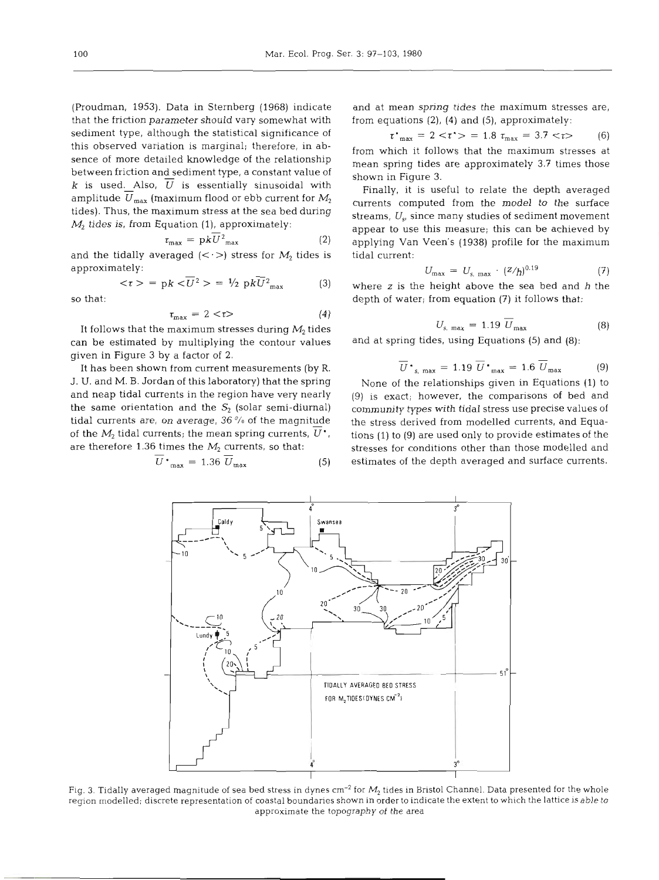(Proudman, 1953). Data in Sternberg (1968) indicate that the friction parameter should vary somewhat with sediment type, although the statistical significance of this observed variation is marginal; therefore, in absence of more detailed knowledge of the relationship between friction and sediment type, a constant value of k is used. Also,  $\overline{U}$  is essentially sinusoidal with amplitude  $\overline{U}_{\text{max}}$  (maximum flood or ebb current for  $M_2$ tides). Thus, the maximum stress at the sea bed during  $M<sub>2</sub>$  tides is, from Equation (1), approximately:

$$
\tau_{\text{max}} = \mathrm{p}kU^2_{\text{max}} \tag{2}
$$

and the tidally averaged  $(<)$ ) stress for  $M_2$  tides is approximately:

$$
<\tau> = \mathrm{p}k < U^2> = \frac{1}{2} \mathrm{p}kU_{\mathrm{max}}^2
$$
 (3) w

so that:

$$
\tau_{\text{max}} = 2 < \tau \tag{4}
$$

It follows that the maximum stresses during *M,* tides can be estimated by multiplying the contour values given in Figure 3 by a factor of 2.

It has been shown from current measurements (by R. J. U. and M. B. Jordan of this laboratory) that the spring and neap tidal currents in the region have very nearly the same orientation and the  $S_2$  (solar semi-diurnal) tidal currents are, on average, 36 **'/a** of the magnitude of the  $M_2$  tidal currents; the mean spring currents,  $U^*$ , herefore 1.36 times the  $M_2$  currents, so that:

$$
U^*_{\text{max}} = 1.36 U_{\text{max}} \tag{5}
$$

and at mean spring tides the maximum stresses are, from equations (2), (4) and **(5),** approximately:

$$
\tau^*_{\text{max}} = 2 < \tau^* > = 1.8 \ \tau_{\text{max}} = 3.7 < \tau > \tag{6}
$$

from which it follows that the maximum stresses at mean spring tides are approximately 3.7 times those shown in Figure 3.

Finally, it is useful to relate the depth averaged currents computed from the model to the surface streams,  $U_{s}$ , since many studies of sediment movement appear to use this measure; this can be achieved by applying Van Veen's (1938) profile for the maximum tidal current:

$$
U_{\text{max}} = U_{s, \text{max}} \cdot (Z/h)^{0.19} \tag{7}
$$

where  $z$  is the height above the sea bed and  $h$  the depth of water; from equation (7) it follows that:

$$
U_{s, \text{max}} = 1.19 U_{\text{max}} \tag{8}
$$

and at spring tides, using Equations (5) and (8):

$$
\overline{U} \cdot_{s. \text{max}} = 1.19 \ \overline{U} \cdot_{\text{max}} = 1.6 \ \overline{U}_{\text{max}} \tag{9}
$$

None of the relationships given in Equations (1) to (9) is exact; however, the comparisons of bed and community types with tidal stress use precise values of the stress derived from modelled currents, and Equations (1) to (9) are used only to provide estimates of the stresses for conditions other than those modelled and estimates of the depth averaged and surface currents.



Fig. 3. Tidally averaged magnitude of sea bed stress in dynes cm<sup>-2</sup> for M<sub>2</sub> tides in Bristol Channel. Data presented for the whole repon modelled; discrete representation of coastal boundaries shown in order to indicate the extent to which the lattice is able to approximate the topography of the area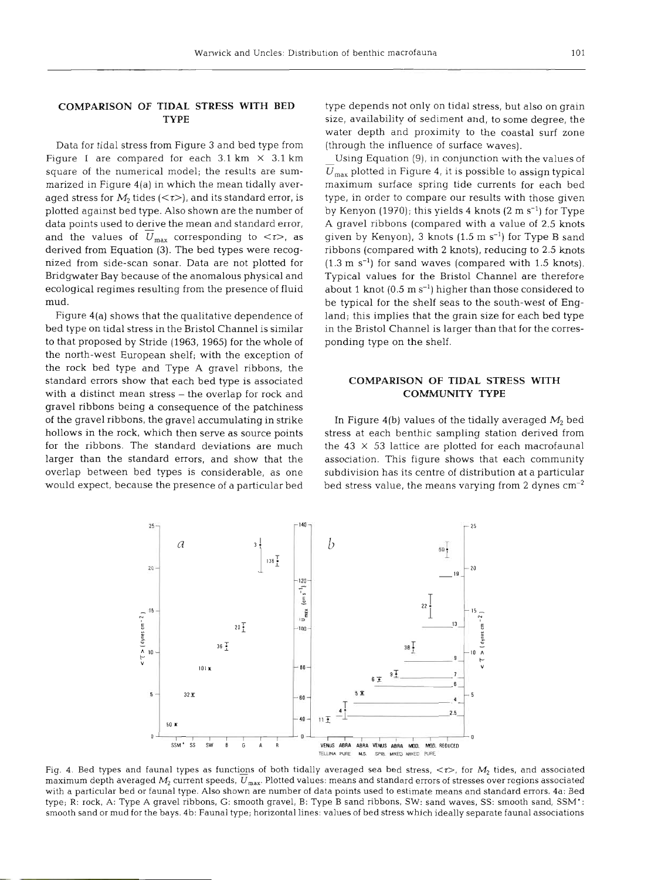## **COMPARISON OF TIDAL STRESS WITH BED TYPE**

Data for tidal stress from Figure 3 and bed type from Figure 1 are compared for each 3.1 km **X** 3.1 km square of the numerical model; the results are summarized in Figure 4(a) in which the mean tidally averaged stress for  $M_2$  tides ( $\lt t$ ), and its standard error, is plotted against bed type. Also shown are the number of data points used to derive the mean and standard error, and the values of  $U_{\text{max}}$  corresponding to  $\langle \tau \rangle$ , as derived from Equation (3). The bed types were recognized from side-scan sonar. Data are not plotted for Bridgwater Bay because of the anomalous physical and ecological regimes resulting from the presence of fluid mud.

Figure 4(a) shows that the qualitative dependence of bed type on tidal stress in the Bristol Channel is similar to that proposed by Stride (1963, 1965) for the whole of the north-west European shelf; with the exception of the rock bed type and Type A gravel ribbons, the standard errors show that each bed type is associated with a distinct mean stress - the overlap for rock and gravel ribbons being a consequence of the patchiness of the gravel ribbons, the gravel accumulating in strike hollows in the rock, which then serve as source points for the ribbons. The standard deviations are muc larger than the standard errors, and show that the overlap between bed types is considerable, as one would expect, because the presence of a particular bed

type depends not only on tidal stress, but also on grain size, availability of sediment and, to some degree, the water depth and proximity to the coastal surf zone (through the influence of surface waves).

Using Equation **(g),** in conjunction with the values of  $U_{\text{max}}$  plotted in Figure 4, it is possible to assign typical maximum surface spring tide currents for each bed type, in order to compare our results with those given by Kenyon  $(1970)$ ; this yields 4 knots  $(2 \text{ m s}^{-1})$  for Type A gravel ribbons (compared with a value of 2.5 knots given by Kenyon), 3 knots  $(1.5 \text{ m s}^{-1})$  for Type B sand ribbons (compared with 2 knots), reducing to 2.5 knots  $(1.3 \text{ m s}^{-1})$  for sand waves (compared with 1.5 knots). Typical values for the Bristol Channel are therefore about 1 knot  $(0.5 \text{ m s}^{-1})$  higher than those considered to be typical for the shelf seas to the south-west of England; this implies that the grain size for each bed type in the Bristol Channel is larger than that for the corresponding type on the shelf.

# **COMPARISON OF TIDAL STRESS WITH COMMUNITY TYPE**

In Figure 4(b) values of the tidally averaged *M,* bed stress at each benthic sampling station derived from the  $43 \times 53$  lattice are plotted for each macrofaunal association. This figure shows that each community subdivision has its centre of distribution at a particular bed stress value, the means varying from **2** dynes cm-2



Fig. 4. Bed types and faunal types as functions of both tidally averaged sea bed stress,  $\langle \tau \rangle$ , for  $M_2$  tides, and associated maximum depth averaged  $M_2$  current speeds,  $U_{\rm max}$ . Plotted values: means and standard errors of stresses over regions associated with a particular bed or faunal type. Also shown are number of data points used to estimate means and standard errors. 4a: Bed type; R: rock, A: Type **A** gravel ribbons, G: smooth gravel, B: Type B sand ribbons. SW: sand waves, SS: smooth sand, SSM': smooth sand or mud for the bays. 4b: Fauna1 type; horizontal lines: values of bed stress which ideally separate faunal associations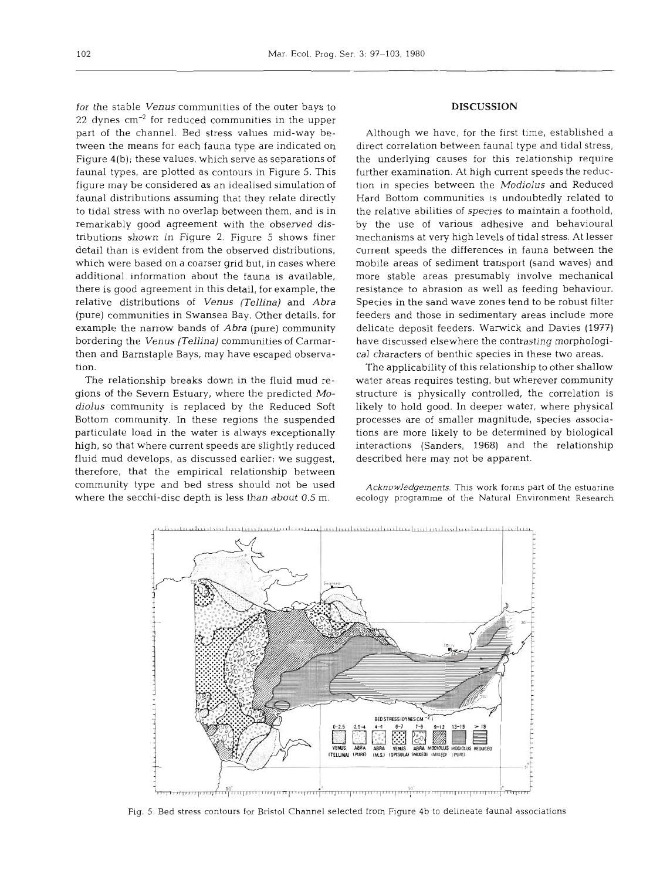for the stable *Venus* communities of the outer bays to 22 dynes  $cm^{-2}$  for reduced communities in the upper part of the channel. Bed stress values mid-way between the means for each fauna type are indicated on Figure 4(b); these values, which serve as separations of faunal types, are plotted as contours in Figure 5. This figure may be considered as an idealised simulation of faunal distributions assuming that they relate directly to tidal stress with no overlap between them, and is in remarkably good agreement with the observed distributions shown in Figure 2. Figure 5 shows finer detail than is evident from the observed distributions, which were based on a coarser grid but, in cases where additional information about the fauna is available, there is good agreement in this detail, for example, the relative distributions of *Venus (Tellina)* and *Abra*  (pure) communities in Swansea Bay. Other details, for example the narrow bands of *Abra* (pure) community bordering the *Venus (Tellina)* communities of Carmarthen and Barnstaple Bays, may have escaped observation.

The relationship breaks down in the fluid mud regions of the Severn Estuary, where the predicted *Modiolus* community is replaced by the Reduced Soft Bottom community. In these regions the suspended particulate load in the water is always exceptionally high, so that where current speeds are slightly reduced fluid mud develops, as discussed earlier; we suggest, therefore, that the empirical relationship between community type and bed stress should not be used where the secchi-disc depth is less than about 0.5 m.

#### **DISCUSSION**

Although we have, for the first time, established a direct correlation between faunal type and tidal stress, the underlying causes for this relationship require further examination. At high current speeds the reduction in species between the *Modiolus* and Reduced Hard Bottom communities is undoubtedly related to the relative abilities of species to maintain a foothold, by the use of various adhesive and behavioural mechanisms at very high levels of tidal stress. At lesser current speeds the differences in fauna between the mobile areas of sediment transport (sand waves) and more stable areas presumably involve mechanical resistance to abrasion as well as feeding behaviour. Species in the sand wave zones tend to be robust filter feeders and those in sedimentary areas include more delicate deposit feeders. Warwick and Davies (1977) have discussed elsewhere the contrasting morphological characters of benthic species in these two areas.

The applicability of this relationship to other shallow water areas requires testing, but wherever community structure is physically controlled, the correlation is likely to hold good. In deeper water, where physical processes are of smaller magnitude, species associations are more likely to be determined by biological interactions (Sanders, 1968) and the relationship described here may not be apparent.

*Acknowledgements.* This work *forms* part of the estuarine ecology programme of the Natural Environment Research



Fig. 5. Bed stress contours for Bristol Channel selected from Figure 4b to delineate faunal associations